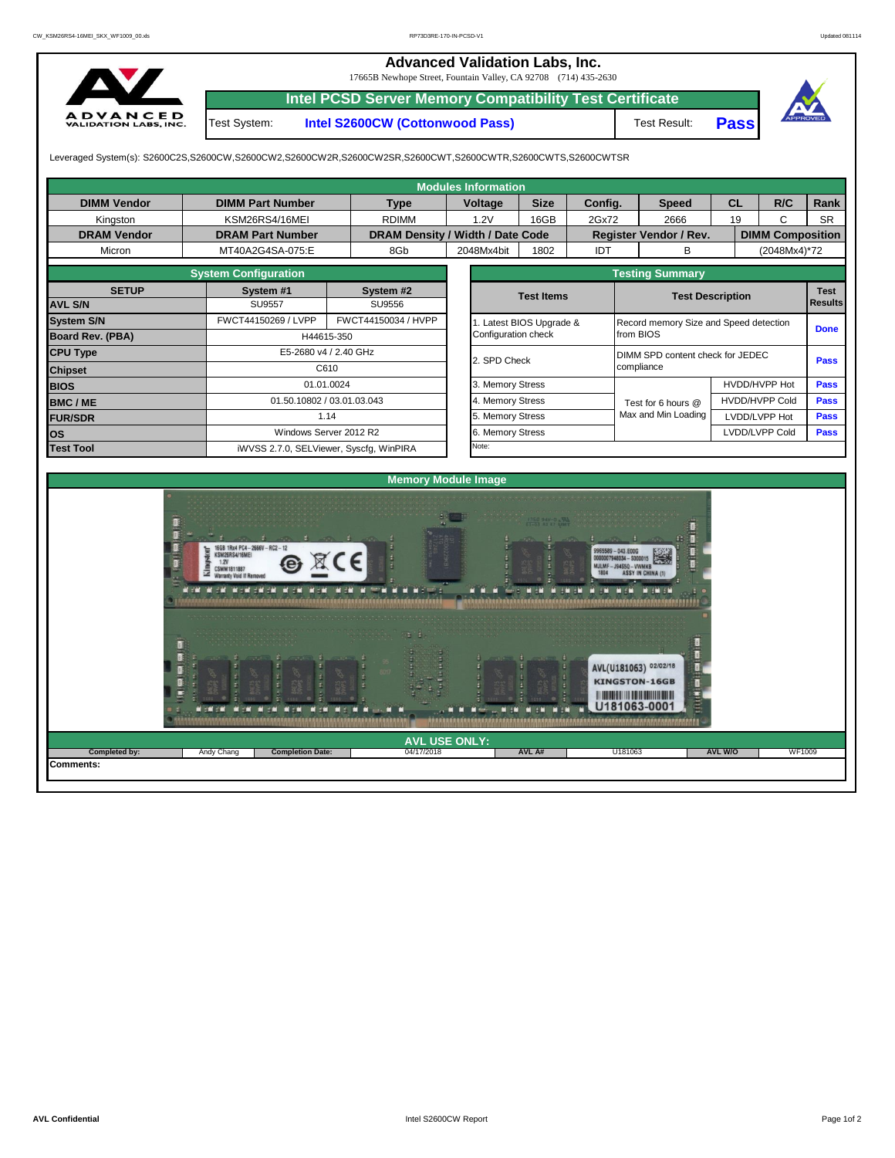|                                                 |              | <b>Advanced Validation Labs, Inc.</b><br>17665B Newhope Street, Fountain Valley, CA 92708 (714) 435-2630 |                     |             |          |
|-------------------------------------------------|--------------|----------------------------------------------------------------------------------------------------------|---------------------|-------------|----------|
|                                                 |              | Intel PCSD Server Memory Compatibility Test Certificate                                                  |                     |             |          |
| <b>ADVANCED</b><br><b>VALIDATION LABS, INC.</b> | Test System: | Intel S2600CW (Cottonwood Pass)                                                                          | <b>Test Result:</b> | <b>Pass</b> | APPROVED |

Leveraged System(s): S2600C2S,S2600CW,S2600CW2,S2600CW2R,S2600CW2SR,S2600CWT,S2600CWTR,S2600CWTS,S2600CWTSR

|                    |                                                                           |            |                                  |  | <b>Modules Information</b>                               |                                            |         |                                     |                                                                                              |              |                         |      |                |  |
|--------------------|---------------------------------------------------------------------------|------------|----------------------------------|--|----------------------------------------------------------|--------------------------------------------|---------|-------------------------------------|----------------------------------------------------------------------------------------------|--------------|-------------------------|------|----------------|--|
| <b>DIMM Vendor</b> | <b>DIMM Part Number</b>                                                   |            | <b>Type</b>                      |  | Voltage                                                  | <b>Size</b>                                | Config. |                                     | <b>Speed</b>                                                                                 | <b>CL</b>    |                         | R/C  | Rank           |  |
| Kingston           | KSM26RS4/16MEI                                                            |            | <b>RDIMM</b>                     |  | 1.2V                                                     | 16GB                                       | 2Gx72   |                                     | 2666                                                                                         | 19           |                         | C    | <b>SR</b>      |  |
| <b>DRAM Vendor</b> | <b>DRAM Part Number</b>                                                   |            | DRAM Density / Width / Date Code |  |                                                          |                                            |         |                                     | Register Vendor / Rev.                                                                       |              | <b>DIMM Composition</b> |      |                |  |
| Micron             | MT40A2G4SA-075:E                                                          | 8Gb        |                                  |  | 2048Mx4bit                                               | 1802                                       | IDT     |                                     | B                                                                                            | (2048Mx4)*72 |                         |      |                |  |
|                    | <b>System Configuration</b>                                               |            |                                  |  |                                                          |                                            |         |                                     | <b>Testing Summary</b>                                                                       |              |                         |      |                |  |
| <b>SETUP</b>       | System #1                                                                 |            | System #2                        |  |                                                          | <b>Test Items</b>                          |         |                                     | <b>Test Description</b>                                                                      |              |                         |      | <b>Test</b>    |  |
| <b>AVL S/N</b>     | <b>SU9557</b>                                                             |            | SU9556                           |  |                                                          |                                            |         |                                     |                                                                                              |              |                         |      | <b>Results</b> |  |
| <b>System S/N</b>  | FWCT44150269 / LVPP                                                       |            | FWCT44150034 / HVPP              |  |                                                          | 1. Latest BIOS Upgrade &                   |         |                                     | Record memory Size and Speed detection                                                       |              |                         |      | <b>Done</b>    |  |
| Board Rev. (PBA)   |                                                                           | H44615-350 |                                  |  | Configuration check                                      |                                            |         | from BIOS                           |                                                                                              |              |                         |      |                |  |
| <b>CPU Type</b>    | E5-2680 v4 / 2.40 GHz                                                     |            |                                  |  | 2. SPD Check                                             |                                            |         |                                     | DIMM SPD content check for JEDEC                                                             |              |                         |      | <b>Pass</b>    |  |
| <b>Chipset</b>     |                                                                           | C610       |                                  |  |                                                          |                                            |         |                                     | compliance                                                                                   |              |                         |      |                |  |
| <b>BIOS</b>        |                                                                           | 01.01.0024 |                                  |  |                                                          |                                            |         |                                     |                                                                                              |              | HVDD/HVPP Hot           | Pass |                |  |
| <b>BMC/ME</b>      | 01.50.10802 / 03.01.03.043                                                |            |                                  |  | 4. Memory Stress                                         |                                            |         |                                     | Test for 6 hours @                                                                           |              | HVDD/HVPP Cold          |      | <b>Pass</b>    |  |
| <b>FUR/SDR</b>     |                                                                           | 1.14       |                                  |  | Max and Min Loading<br>5. Memory Stress<br>LVDD/LVPP Hot |                                            |         |                                     |                                                                                              |              |                         |      | Pass           |  |
| <b>los</b>         | Windows Server 2012 R2                                                    |            |                                  |  | 6. Memory Stress                                         |                                            |         |                                     |                                                                                              |              | LVDD/LVPP Cold          |      | Pass           |  |
| <b>Test Tool</b>   | iWVSS 2.7.0, SELViewer, Syscfg, WinPIRA                                   |            |                                  |  | Note:                                                    |                                            |         |                                     |                                                                                              |              |                         |      |                |  |
|                    | 6GB 1Rx4 PC4-2666V-RC2-12<br>KSM26RS4/16MEI<br>1.2V<br><b>CSMM1811887</b> |            | <b>Memory Module Image</b>       |  |                                                          | $\begin{array}{c} \hline \end{array}$<br>H |         | 65589-043.E00G<br>948034 - \$000015 | - WWWK<br>直看<br>AVL(U181063) 02/02/18<br><b>KINGSTON-16GB</b><br><b>Hand</b><br>U181063-0001 |              |                         |      |                |  |

**Completed by: Andy Chang Completion Date: 8 04/17/2018 AVL A# U181063 AVL W/O | WF1009** 

**AVL USE ONLY:**<br>04/17/2018 **AVL A#** 

U181063

**Comments:**